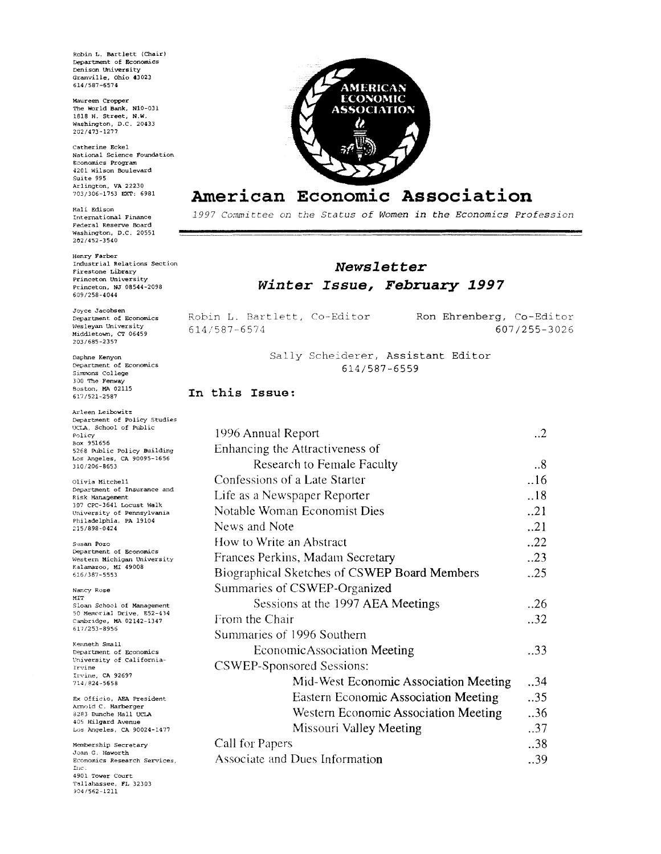Robin L. Bartlett (Chair) Department of Economics Denison Iniversity Granville, Ohio 43023 614/587-6574

Maureen Cropper The World Bank, N10-031 1818 H. Street, N.W.<br>Washington, D.C. 20433 202/473-1277

Catherine Eckel National Science Foundation Economics Program 4201 Wilson Boulevard  $Suit = 995$ Arlington, VA 22230 703/306-1753 EXT: 6981

Hali Edison International Finance Federal Reserve Board Washington, D.C. 20551 202/452-3540

Henry Farber Industrial Relations Section Firestone Library Princeton University Princeton, NJ 08544-2098 609/258-4044

Joyce Jacobsen Department of Economics Weslevan University Middletown, CT 06459 203/685-2357

Daphne Kenyon Department of Economics Simmons College 300 The Fenway Boston, MA 02115  $617/521 - 2587$ 

Arlean Leibowitz Department of Policy Studies UCLA, School of Public Policy<br>Box 951656 5268 Public Policy Building Los Angeles, CA 90095-1656 310/206-8653

Olivia Mitchell Department of Insurance and Risk Management 307 CPC-3641 Locust Walk University of Pennsylvania Philadelphia, PA 19104 215/898-0424

Susan Pozo Department of Economics Western Michigan University Kalamazoo, MI 49008 616/387-5553

Nancy Rose  $_{\rm MIT}$ Sloan School of Management 50 Memorial Drive, E52-434 Cambridge, MA 02142-1347 617/253-8956

Kenneth Small Department of Economics University of California-Irvine Irvine, CA 92697  $714/824 - 5658$ 

Ex Officio, AEA President Arnold C. Harberger 8283 Bunche Hall UCLA<br>405 Hilgard Avenue Los Angeles, CA 90024-1477

Membership Secretary Joan G. Haworth Economics Research Services, Inc. 4901 Tower Court Tallahassee, FL 32303 904/562-1211



# American Economic Association

1997 Committee on the Status of Women in the Economics Profession

## Newsletter Winter Issue, February 1997

|              |  | Robin L. Bartlett, Co-Editor | Ron Ehrenberg, Co-Editor |
|--------------|--|------------------------------|--------------------------|
| 614/587-6574 |  |                              | 607/255-3026             |

Sally Scheiderer, Assistant Editor 614/587-6559

#### In this Issue:

| 1996 Annual Report                           | $\cdot$ .2 |
|----------------------------------------------|------------|
| Enhancing the Attractiveness of              |            |
| Research to Female Faculty                   | .8         |
| Confessions of a Late Starter                | .16        |
| Life as a Newspaper Reporter                 | .18        |
| Notable Woman Economist Dies                 | .21        |
| News and Note                                | .21        |
| How to Write an Abstract                     | .22        |
| Frances Perkins, Madam Secretary             | .23        |
| Biographical Sketches of CSWEP Board Members | .25        |
| Summaries of CSWEP-Organized                 |            |
| Sessions at the 1997 AEA Meetings            | 0.26       |
| From the Chair                               | 32         |
| Summaries of 1996 Southern                   |            |
| EconomicAssociation Meeting                  | .33        |
| <b>CSWEP-Sponsored Sessions:</b>             |            |
| Mid-West Economic Association Meeting        | .34        |
| <b>Eastern Economic Association Meeting</b>  | 35         |
| Western Economic Association Meeting         | 36         |
| Missouri Valley Meeting                      | 37         |
| Call for Papers                              | 38         |
| Associate and Dues Information               | 39         |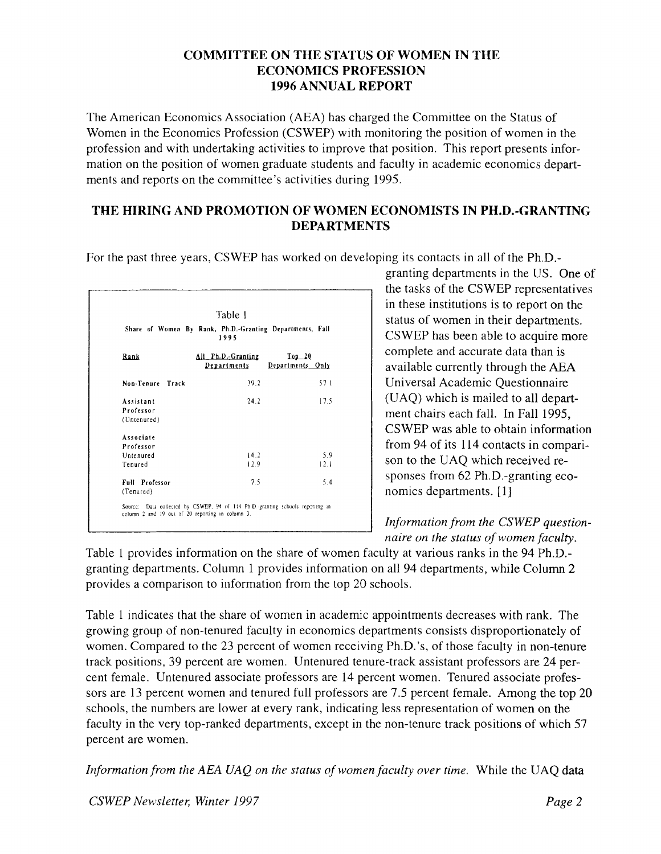### **COMMITTEE ON THE STATUS OF WOMEN IN THE ECONOMICS PROFESSION 1996 ANNUAL REPORT**

The American Economics Association (AEA) has charged the Committee on the Status of Women in the Economics Profession (CSWEP) with monitoring the position of women in the profession and with undertaking activities to improve that position. This report presents information on the position of women graduate students and faculty in academic economics departments and reports on the committee's activities during **1995.** 

## **THE HIRING AND PROMOTION OF WOMEN ECONOMISTS IN PH.D.-GRANTING DEPARTMENTS**

For the past three years, CSWEP has worked on developing its contacts in all of the Ph.D.-

| Table 1                                                          |                                   |                                       |  |  |  |
|------------------------------------------------------------------|-----------------------------------|---------------------------------------|--|--|--|
| Share of Women By Rank, Ph.D.-Granting Departments, Fall<br>1995 |                                   |                                       |  |  |  |
| Rank                                                             | All Ph.D. Granting<br>Departments | $\textbf{Top}$ 20<br>Departments Only |  |  |  |
| Non-Tenure Track                                                 | 39.2                              | 57 1                                  |  |  |  |
| Assistant                                                        | 24.2                              | 17.5                                  |  |  |  |
| Professor<br>(Untenured)                                         |                                   |                                       |  |  |  |
| Associate                                                        |                                   |                                       |  |  |  |
| Professor                                                        |                                   |                                       |  |  |  |
| Untenured                                                        | 14.2                              | 5.9                                   |  |  |  |
| Tenured                                                          | 12.9                              | 12.1                                  |  |  |  |
| <b>Full Professor</b>                                            | 75                                | 54                                    |  |  |  |
| (Tenured)                                                        |                                   |                                       |  |  |  |

granting departments in the US. One of the tasks of the CSWEP representatives in these institutions is to report on the status of women in their departments. CSWEP has been able to acquire more complete and accurate data than is available currently through the **AEA**  Universal Academic Questionnaire (UAQ) which is mailed to all department chairs each fall. In Fall **1995,**  CSWEP was able to obtain information from **94** of its **1 14** contacts in comparison to the UAQ which received responses from 62 Ph.D.-granting economics departments. **[I]** 

*Information from the CSWEP questionnaire on the status of women faculty.* 

Table **1** provides information on the share of women faculty at various ranks in the **94** Ph.D. granting departments. Column **1** provides information on all **94** departments, while Column 2 provides a comparison to information from the lop 20 schools.

Table **1** indicates that the share of women in academic appointments decreases with rank. The growing group of non-tenured faculty in economics departments consists disproportionately of women. Compared to the **23** percent of women receiving Ph.D.'s, of those faculty in non-tenure track positions, **39** percent are women. Untenured tenure-track assistant professors are 24 percent female. Untenured associate professors are **14** percent women. Tenured associate professors are **13** percent women and tenured full professors are **7.5** percent female. Among the top 20 schools, the numbers are lower at every rank, indicating less representation of women on the faculty in the very top-ranked departments, except in the non-tenure track positions of which **57**  percent are women.

*Information from the AEA UAQ on the status of women faculty over time.* While the UAQ data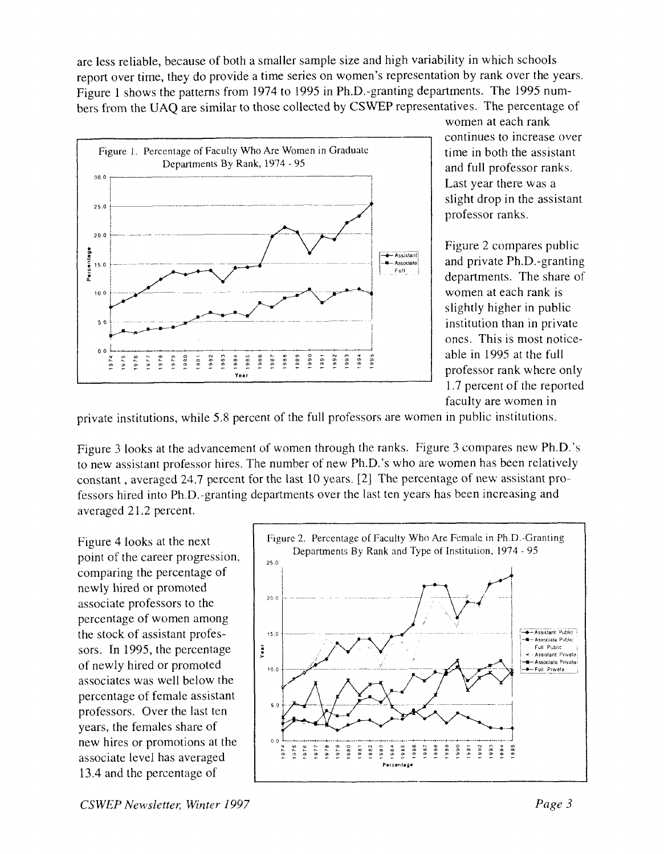are less reliable, because of both a smaller sample size and high variability in which schools report over time, they do provide a time series on women's representation by rank over the years. Figure 1 shows the patterns from 1974 to 1995 in Ph.D.-granting departments. The 1995 numbers from the UAQ are similar to those collected by CSWEP representatives. The percentage of



women at each rank continues to increase over time in both the assistant and full professor ranks. Last year there was a slight drop in the assistant professor ranks.

Figure 2 compares public and private Ph.D.-granting departments. The share of women at each rank is slightly higher in public institution than in private ones. This is most noticeable in 1995 at the full professor rank where only 1.7 percent of the reported faculty are women in

private institutions, while 5.8 percent of the full professors are women in public institutions.

Figure 3 looks at the advancement of women through the ranks. Figure 3 compares new Ph.D.'s to new assistant professor hires. The number of new Ph.D.'s who are women has been relatively constant , averaged 24.7 percent for the last 10 years. [2] The percentage of new assistant professors hired into Ph.D.-granting departments over the last ten years has been increasing and averaged 21.2 percent.

Figure 4 looks at the next point of the career progression, comparing the percentage of newly hired or promoted associate professors to the percentage of women among the stock of assistant professors. In 1995, the percentage of newly hired or promoted associates was well below the percentage of female assistant professors. Over the last ten years, the females share of 13.4 and the percentage of new hires or promotions at the associate level has averaged

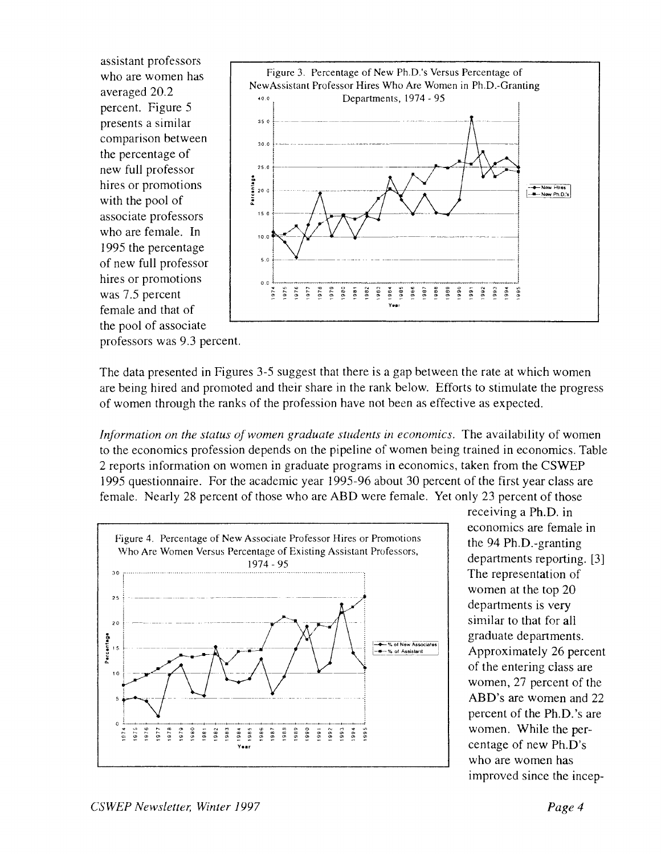assistant professors who are women has averaged 20.2 percent. Figure 5 presents a similar comparison between the percentage of new full professor hires or promotions with the pool of associate professors who are female. In 1995 the percentage of new full professor hires or promotions was 7.5 percent female and that of the pool of associate



professors was 9.3 percent.

The data presented in Figures 3-5 suggest that there is a gap between the rate at which women are being hired and promoted and their share in the rank below. Efforts to stimulate the progress of women through the ranks of the profession have not been as effective as expected.

*Information on the status of women graduate students in economics.* The availability of women to the economics profession depends on the pipeline of women being trained in economics. Table 2 reports information on women in graduate programs in economics, taken from the CSWEP 1995 questionnaire. For the academic year 1995-96 about 30 percent of the first year class are female. Nearly 28 percent of those who are ABD were female. Yet only 23 percent of those



receiving a Ph.D. in economics are female in the 94 Ph.D.-granting departments reporting. [3] The representation of women at the top 20 departments is very similar to that for all graduate departments. Approximately 26 percent of the entering class are women, 27 percent of the ABD's are women and 22 percent of the Ph.D.'s are women. While the percentage of new Ph.D's who are women has improved since the incep-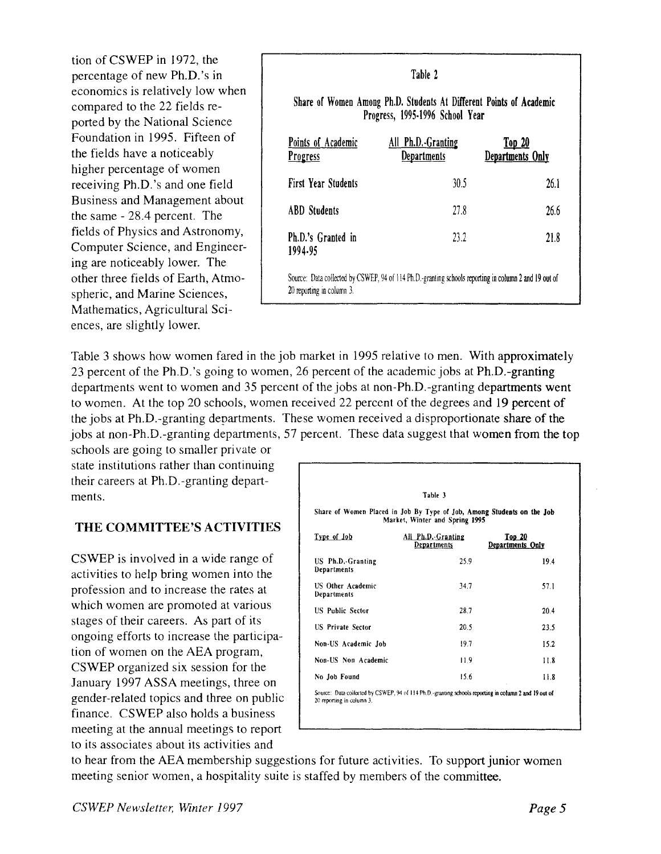tion of CSWEP in 1972, the tion of CSWEP in 1972, the<br>percentage of new Ph.D.'s in Table 2<br>economics is relatively low when economics is relatively low when compared to the 22 fields reported by the National Science Foundation in 1995. Fifteen of the fields have a noticeably higher percentage of women receiving Ph.D.'s and one field Business and Management about the same - 28.4 percent. The fields of Physics and Astronomy, Computer Science, and Engineering are noticeably lower. The other three fields of Earth, Atmospheric, and Marine Sciences, Mathematics, Agricultural Sciences, are slightly lower.

|                                       | Share of Women Among Ph.D. Students At Different Points of Academic<br>Progress, 1995-1996 School Year |                                   |
|---------------------------------------|--------------------------------------------------------------------------------------------------------|-----------------------------------|
| Points of Academic<br><b>Progress</b> | All Ph.D. Granting<br><b>Departments</b>                                                               | <u>Top 20</u><br>Departments Only |
| <b>First Year Students</b>            | 30.5                                                                                                   | 26.1                              |
| <b>ABD</b> Students                   | 27.8                                                                                                   | 26.6                              |
| Ph.D.'s Granted in<br>1994.95         | 23.2                                                                                                   | 21.8                              |

Table 3 shows how women fared in the job market in 1995 relative to men. With approximately 23 percent of the Ph.D.'s going to women, 26 percent of the academic jobs at Ph.D.-granting departments went to women and 35 percent of the jobs at non-Ph.D.-granting departments went to women. At the top 20 schools, women received 22 percent of the degrees and 19 percent of the jobs at Ph.D.-granting departments. These women received a disproportionate share of the jobs at non-Ph.D.-granting departments, 57 percent. These data suggest that women from the top

schools are going to smaller private or state institutions rather than continuing their careers at Ph.D.-granting departments.

# **THE COMMITTEE'S ACTIVITIES**

CSWEP is involved in a wide range of activities to help bring women into the profession and to increase the rates at which women are promoted at various stages of their careers. As part of its ongoing efforts to increase the participation of women on the AEA program, CSWEP organized six session for the January 1997 ASSA meetings, three on gender-related topics and three on public finance. CSWEP also holds a business meeting at the annual meetings to report to its associates about its activities and

| Share of Women Placed in Job By Type of Job, Among Students on the Job<br>Market, Winter and Spring 1995<br>All Ph.D.-Granting<br>Departments<br>25.9 |                                                                                                       |  |
|-------------------------------------------------------------------------------------------------------------------------------------------------------|-------------------------------------------------------------------------------------------------------|--|
|                                                                                                                                                       |                                                                                                       |  |
|                                                                                                                                                       | Top <sub>20</sub><br>Departments Only                                                                 |  |
|                                                                                                                                                       | 194                                                                                                   |  |
| 34.7                                                                                                                                                  | 57.1                                                                                                  |  |
| 28.7                                                                                                                                                  | 20.4                                                                                                  |  |
| 20.5                                                                                                                                                  | 23.5                                                                                                  |  |
| 19.7                                                                                                                                                  | 15.2                                                                                                  |  |
| 11.9                                                                                                                                                  | 11.8                                                                                                  |  |
| 15.6                                                                                                                                                  | 11.8                                                                                                  |  |
|                                                                                                                                                       | Source: Data collected by CSWEP, 94 of 114 Ph.D.-granting schools reporting in column 2 and 19 out of |  |

to hear from the AEA membership suggestions for future activities. To support junior women meeting senior women, a hospitality suite is staffed by members of the committee.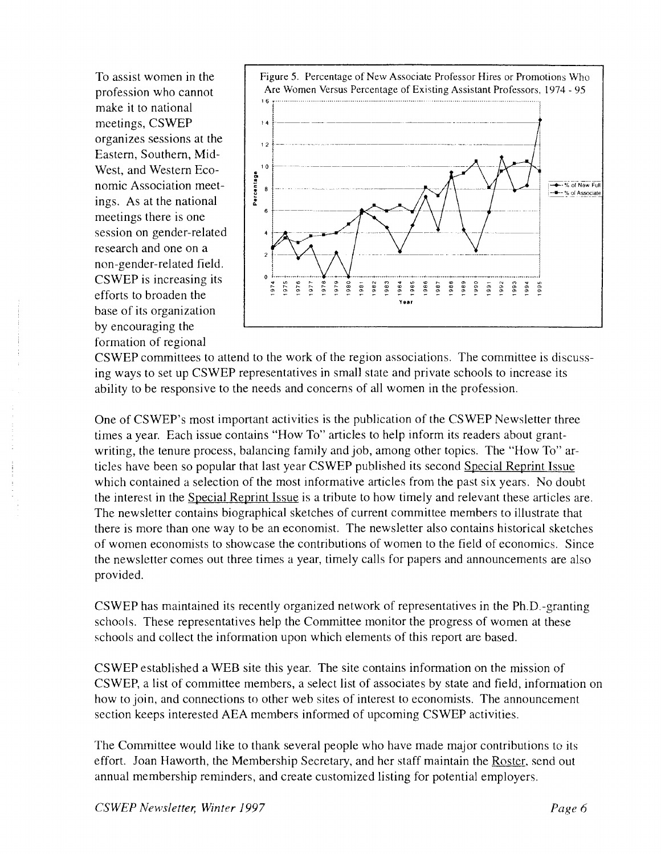To assist women in the profession who cannot make it to national meetings, CSWEP organizes sessions at the Eastern, Southern, Mid-West, and Western Economic Association meetings. As at the national meetings there is one session on gender-related research and one on a non-gender-related field. CSWEP is increasing its efforts to broaden the base of its organization by encouraging the formation of regional



CSWEP committees to attend to the work of the region associations. The committee is discussing ways to set up CSWEP representatives in small state and private schools to increase its ability to be responsive to the needs and concerns of all women in the profession.

One of CSWEP's most important activities is the publication of the CSWEP Newsletter three times a year. Each issue contains "How To" articles to help inform its readers about grantwriting, the tenure process, balancing family and job, among other topics. The "How To" articles have been so popular that last year CSWEP published its second Special Reprint Issue which contained a selection of the most informative articles from the past six years. No doubt the interest in the Special Reprint Issue is a tribute to how timely and relevant these articles are. The newsletter contains biographical sketches of current committee members to illustrate that there is more than one way to be an economist. The newsletter also contains historical sketches of women economists to showcase the contributions of women to the field of economics. Since the newsletter comes out three times a year, timely calls for papers and announcements are also provided.

CSWEP has maintained its recently organized network of representatives in the Ph.D.-granting schools. These representatives help the Committee monitor the progress of women at these schools and collect the information upon which elements of this report are based.

CSWEP established a WEB site this year. The site contains information on the mission of CSWEP, a list of committee members, a select list of associates by state and field, information on how to join, and connections to other web sites of interest to economists. The announcement section keeps interested AEA members informed of upcoming CSWEP activities.

The Committee would like to thank several people who have made major contributions to its effort. Joan Haworth, the Membership Secretary, and her staff maintain the Roster, send out annual membership reminders, and create customized listing for potential employers.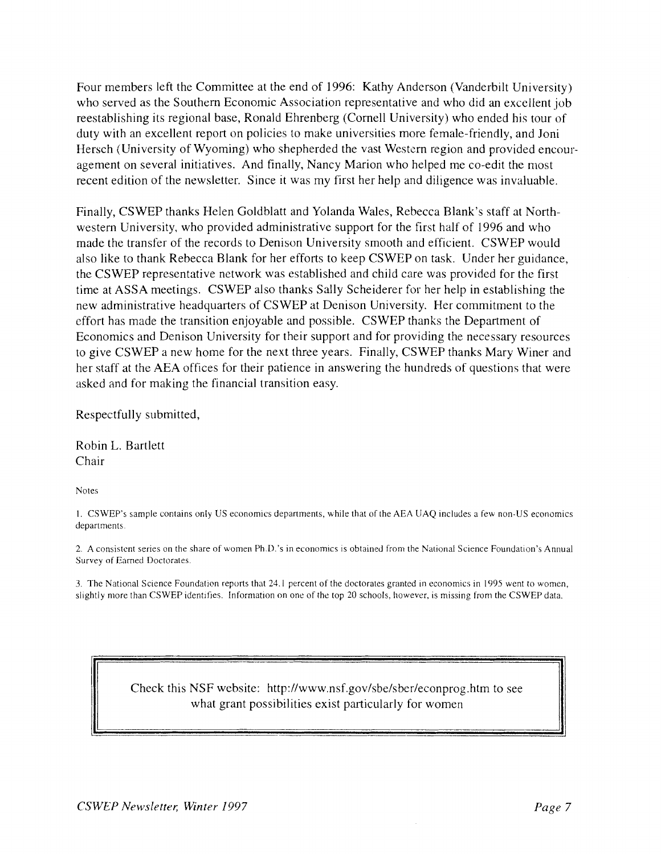Four members left the Committee at the end of 1996: Kathy Anderson (Vanderbilt University) who served as the Southern Economic Association representative and who did an excellent job reestablishing its regional base, Ronald Ehrenberg (Cornell University) who ended his tour of duty with an excellent report on policies to make universities more female-friendly, and Joni Hersch (University of Wyoming) who shepherded the vast Western region and provided encouragement on several initiatives. And finally, Nancy Marion who helped me co-edit the most recent edition of the newsletter. Since it was my first her help and diligence was invaluable.

Finally, CSWEP thanks Helen Goldblatt and Yolanda Wales, Rebecca Blank's staff at Northwestern University, who provided administrative support for the first half of 1996 and who made the transfer of the records to Denison University smooth and efficient. CSWEP would also like to thank Rebecca Blank for her efforts to keep CSWEP on task. Under her guidance, the CSWEP representative network was established and child care was provlded for the first time at ASSA meetings. CSWEP also thanks Sally Scheiderer for her help in establishing the new administrative headquarters of CSWEP at Denison University. Her commitment to the effort has made the transition enjoyable and possible. CSWEP thanks the Department of Economics and Denison University for their support and for providing the necessary resources to give CSWEP a new home for the next three years. Finally, CSWEP thanks Mary Winer and her staff at the AEA offices for their patience in answering the hundreds of questions that were asked and for making the financial transition easy.

Respectfully submitted,

Robin L. Bartlett Chair

Notes

1. CSWEP's sample contains only US economics departments, while that of the AEA UAQ includes a few non-US economics departments

2. A consistent series on the share of women Ph.D.'s in economics is obtained from the National Science Foundation's Annual Survey of Earned Doctorates.

3. The National Science Foundation reports that 24.1 percent of the doctorates granted in economics in 1995 went to women, slightly more than CSWEP identifies. Information on one of the top 20 schools, however, is missing from the CSWEP data.

> Check this NSF website: http://www.nsf.gov/sbe/sber/econprog.htm to see what grant possibilities exist particularly for women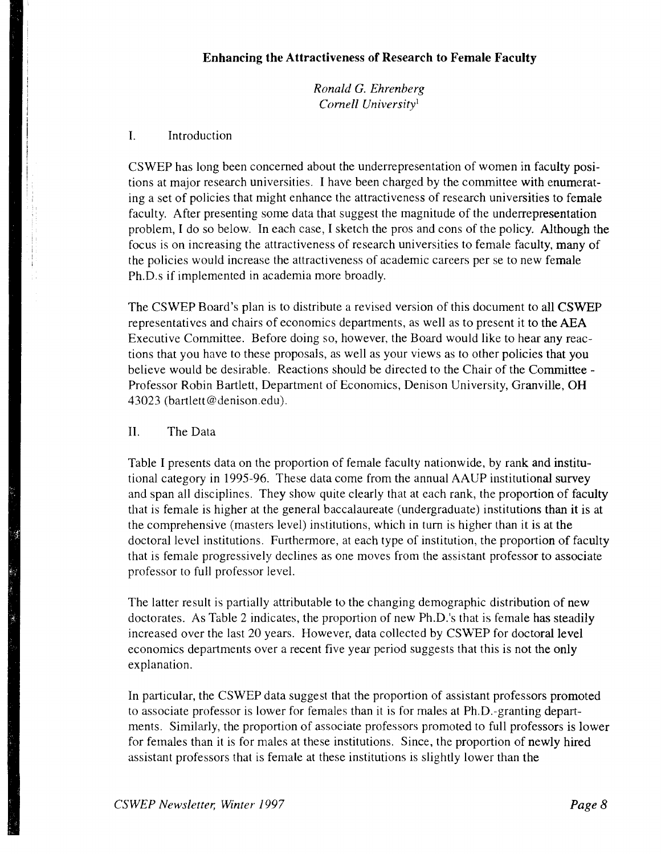*Ronald G. Ehrenberg Cornell University'* 

### I. Introduction

CSWEP has long been concerned about the underrepresentation of women in faculty positions at major research universities. I have been charged by the committee with enumerating a set of policies that might enhance the attractiveness of research universities to female faculty. After presenting some data that suggest the magnitude of the underrepresentation problem, I do so below. In each case, I sketch the pros and cons of the policy. Although the focus is on increasing the attractiveness of research universities to female faculty, many of the policies would increase the attractiveness of academic careers per se to new female Ph.D.s if implemented in academia more broadly.

The CSWEP Board's plan is to distribute a revised version of this document to all CSWEP representatives and chairs of economics departments, as well as to present it to the **AEA**  Executive Committee. Before doing so, however, the Board would like to hear any reactions that you have to these proposals, as well as your views as to other policies that you believe would be desirable. Reactions should be directed to the Chair of the Committee -Professor Robin Bartlett, Department of Economics, Denison University, Granville, OH 43023 (bartlett@denison.edu).

### 11. The Data

Table I presents data on the proportion of female faculty nationwide, by rank and institutional category in 1995-96. These data come from the annual AAUP institutional survey and span all disciplines. They show quite clearly that at each rank, the proportion of faculty that is female is higher at the general baccalaureate (undergraduate) institutions than it is at the comprehensive (masters level) institutions, which in turn is higher than it is at the doctoral level institutions. Furthermore, at each type of institution, the proportion of faculty that is female progressively declines as one moves from the assistant professor to associate professor to full professor level.

The latter result is partially attributable to the changing demographic distribution of new doctorates. As Table 2 indicates, the proportion of new Ph.D.'s that is female has steadily increased over the last 20 years. However, data collected by CSWEP for doctoral level economics departments over a recent five year period suggests that this is not the only explanation.

In particular, the CSWEP data suggest that the proportion of assistant professors promoted to associate professor is lower for females than it is for males at Ph.D.-granting departments. Similarly, the proportion of associate professors promoted to full professors is lower for females than it is for males at these institutions. Since, the proportion of newly hired assistant professors that is female at these institutions is slightly lower than the